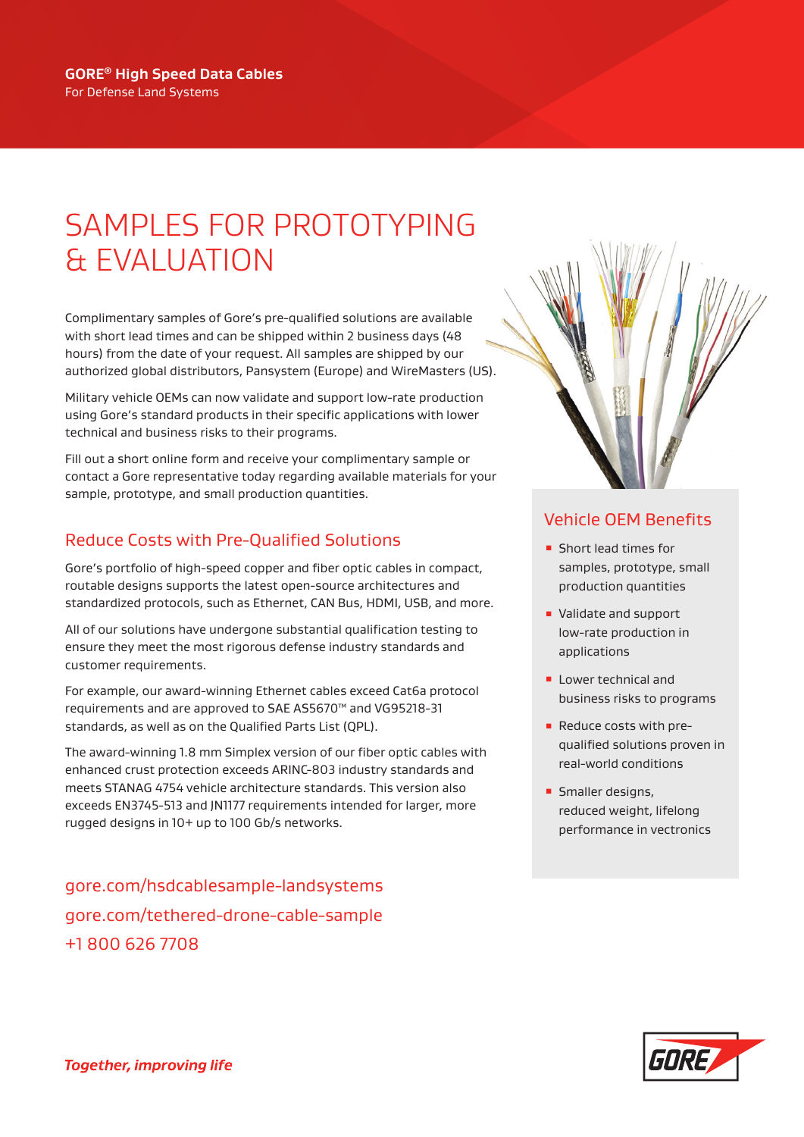### SAMPLES FOR PROTOTYPING & EVALUATION

Complimentary samples of Gore's pre-qualified solutions are available with short lead times and can be shipped within 2 business days (48 hours) from the date of your request. All samples are shipped by our authorized global distributors, Pansystem (Europe) and WireMasters (US).

Military vehicle OEMs can now validate and support low-rate production using Gore's standard products in their specific applications with lower technical and business risks to their programs.

Fill out a short online form and receive your complimentary sample or contact a Gore representative today regarding available materials for your sample, prototype, and small production quantities.

#### Reduce Costs with Pre-Qualified Solutions

Gore's portfolio of high-speed copper and fiber optic cables in compact, routable designs supports the latest open-source architectures and standardized protocols, such as Ethernet, CAN Bus, HDMI, USB, and more.

All of our solutions have undergone substantial qualification testing to ensure they meet the most rigorous defense industry standards and customer requirements.

For example, our award-winning Ethernet cables exceed Cat6a protocol requirements and are approved to SAE AS5670™ and VG95218-31 standards, as well as on the Qualified Parts List (QPL).

The award-winning 1.8 mm Simplex version of our fiber optic cables with enhanced crust protection exceeds ARINC-803 industry standards and meets STANAG 4754 vehicle architecture standards. This version also exceeds EN3745-513 and JN1177 requirements intended for larger, more rugged designs in 10+ up to 100 Gb/s networks.

[gore.com/hsdcablesample-landsystems](https://www.gore.com/hsdcablesample-landsystems) [gore.com/tethered-drone-cable-sample](https://www.gore.com/tethered-drone-cable-sample) +1 800 626 7708



#### Vehicle OEM Benefits

- **E** Short lead times for samples, prototype, small production quantities
- Validate and support low-rate production in applications
- **E** Lower technical and business risks to programs
- Reduce costs with prequalified solutions proven in real-world conditions
- **Smaller designs,** reduced weight, lifelong performance in vectronics

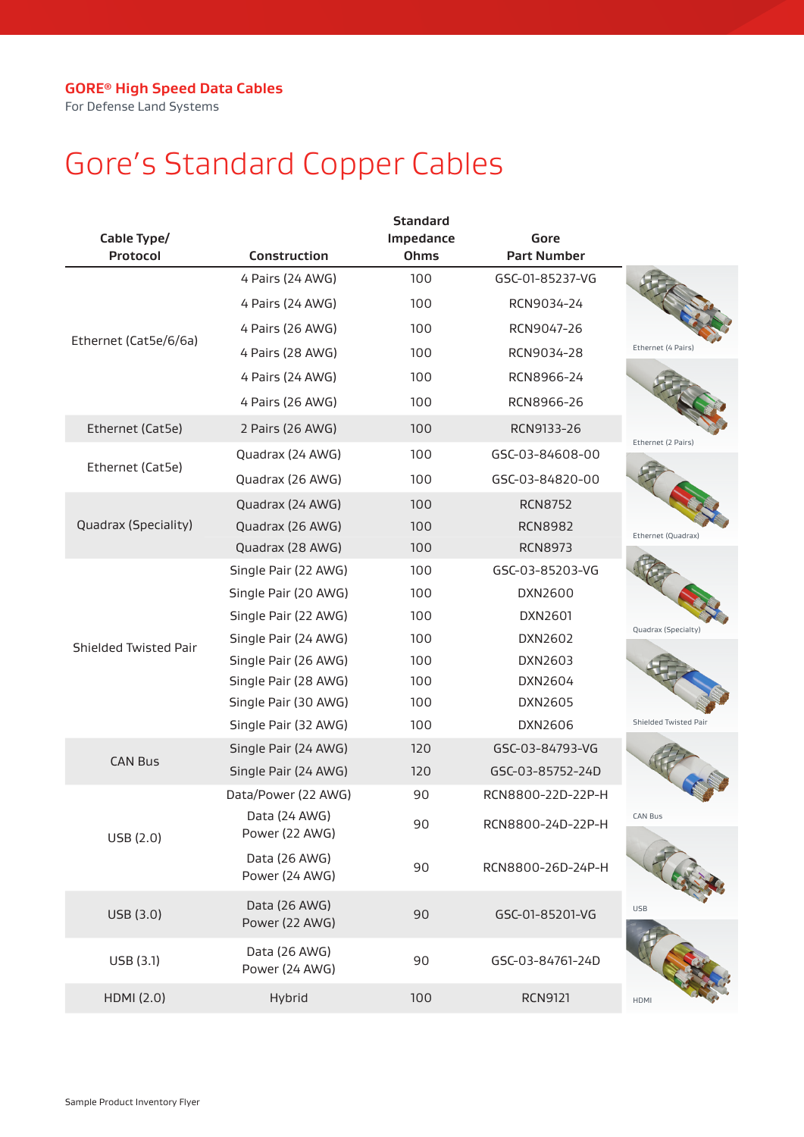For Defense Land Systems

# Gore's Standard Copper Cables

| Cable Type/           |                                 | <b>Standard</b><br>Impedance | Gore               |                       |
|-----------------------|---------------------------------|------------------------------|--------------------|-----------------------|
| Protocol              | <b>Construction</b>             | <b>Ohms</b>                  | <b>Part Number</b> |                       |
|                       | 4 Pairs (24 AWG)                | 100                          | GSC-01-85237-VG    |                       |
|                       | 4 Pairs (24 AWG)                | 100                          | RCN9034-24         |                       |
| Ethernet (Cat5e/6/6a) | 4 Pairs (26 AWG)                | 100                          | RCN9047-26         |                       |
|                       | 4 Pairs (28 AWG)                | 100                          | RCN9034-28         | Ethernet (4 Pairs)    |
|                       | 4 Pairs (24 AWG)                | 100                          | RCN8966-24         |                       |
|                       | 4 Pairs (26 AWG)                | 100                          | RCN8966-26         |                       |
| Ethernet (Cat5e)      | 2 Pairs (26 AWG)                | 100                          | RCN9133-26         |                       |
|                       | Quadrax (24 AWG)                | 100                          | GSC-03-84608-00    | Ethernet (2 Pairs)    |
| Ethernet (Cat5e)      | Quadrax (26 AWG)                | 100                          | GSC-03-84820-00    |                       |
|                       | Quadrax (24 AWG)                | 100                          | <b>RCN8752</b>     |                       |
| Quadrax (Speciality)  | Quadrax (26 AWG)                | 100                          | <b>RCN8982</b>     | Ethernet (Quadrax)    |
|                       | Quadrax (28 AWG)                | 100                          | <b>RCN8973</b>     |                       |
|                       | Single Pair (22 AWG)            | 100                          | GSC-03-85203-VG    |                       |
|                       | Single Pair (20 AWG)            | 100                          | DXN2600            |                       |
|                       | Single Pair (22 AWG)            | 100                          | DXN2601            |                       |
| Shielded Twisted Pair | Single Pair (24 AWG)            | 100                          | DXN2602            | Quadrax (Specialty)   |
|                       | Single Pair (26 AWG)            | 100                          | DXN2603            |                       |
|                       | Single Pair (28 AWG)            | 100                          | DXN2604            |                       |
|                       | Single Pair (30 AWG)            | 100                          | DXN2605            |                       |
|                       | Single Pair (32 AWG)            | 100                          | DXN2606            | Shielded Twisted Pair |
| <b>CAN Bus</b>        | Single Pair (24 AWG)            | 120                          | GSC-03-84793-VG    |                       |
|                       | Single Pair (24 AWG)            | 120                          | GSC-03-85752-24D   |                       |
|                       | Data/Power (22 AWG)             | 90                           | RCN8800-22D-22P-H  |                       |
| USB (2.0)             | Data (24 AWG)<br>Power (22 AWG) | 90                           | RCN8800-24D-22P-H  | CAN Bus               |
|                       | Data (26 AWG)<br>Power (24 AWG) | 90                           | RCN8800-26D-24P-H  |                       |
| USB (3.0)             | Data (26 AWG)<br>Power (22 AWG) | 90                           | GSC-01-85201-VG    | <b>USB</b>            |
| USB (3.1)             | Data (26 AWG)<br>Power (24 AWG) | 90                           | GSC-03-84761-24D   |                       |
| HDMI (2.0)            | Hybrid                          | 100                          | <b>RCN9121</b>     | HDMI                  |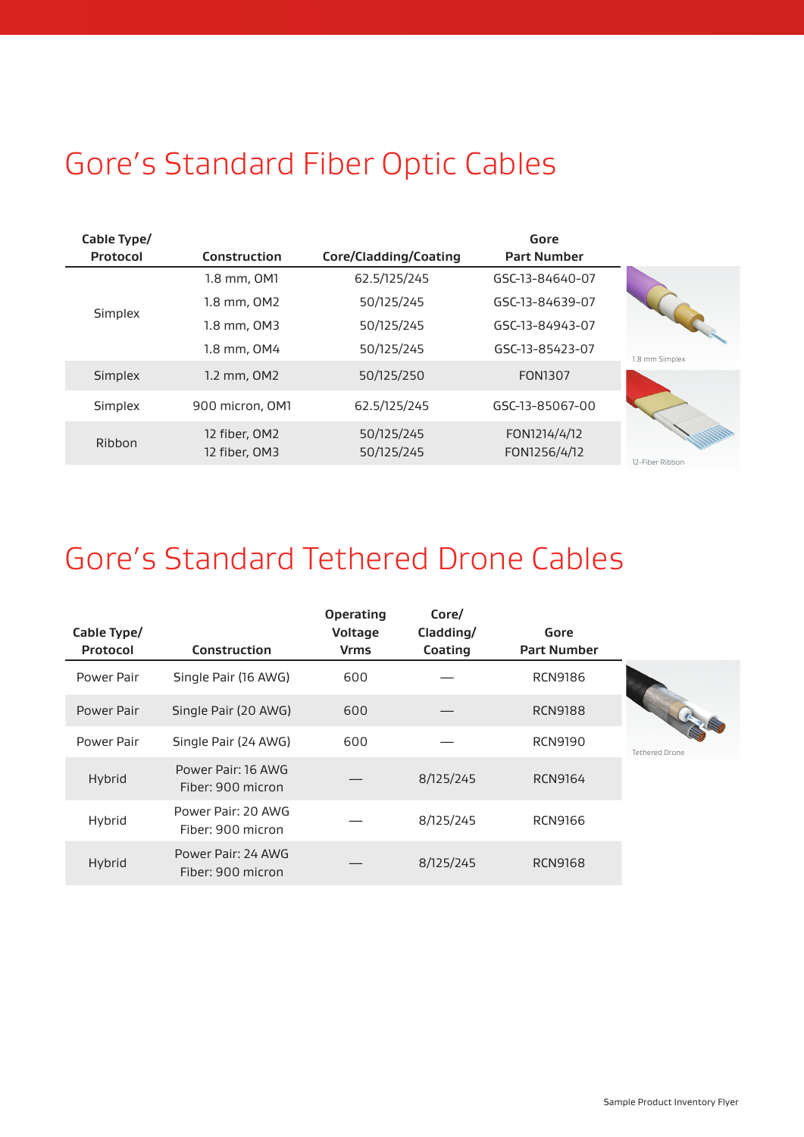## Gore's Standard Fiber Optic Cables

| Cable Type/<br>Protocol | <b>Construction</b>            | Core/Cladding/Coating    | Gore<br><b>Part Number</b>   |                 |
|-------------------------|--------------------------------|--------------------------|------------------------------|-----------------|
|                         | 1.8 mm, OM1                    | 62.5/125/245             | GSC-13-84640-07              |                 |
| Simplex                 | 1.8 mm, OM2                    | 50/125/245               | GSC-13-84639-07              |                 |
|                         | 1.8 mm, OM3                    | 50/125/245               | GSC-13-84943-07              |                 |
|                         | 1.8 mm, OM4                    | 50/125/245               | GSC-13-85423-07              | 1.8 mm Simplex  |
| <b>Simplex</b>          | 1.2 mm, OM2                    | 50/125/250               | <b>FON1307</b>               |                 |
| Simplex                 | 900 micron, OM1                | 62.5/125/245             | GSC-13-85067-00              |                 |
| <b>Ribbon</b>           | 12 fiber, OM2<br>12 fiber, OM3 | 50/125/245<br>50/125/245 | FON1214/4/12<br>FON1256/4/12 | 12-Fiber Ribbon |

#### Gore's Standard Tethered Drone Cables

| Cable Type/<br><b>Protocol</b> | <b>Construction</b>                     | <b>Operating</b><br>Voltage<br><b>Vrms</b> | Core/<br>Cladding/<br>Coating | Gore<br><b>Part Number</b> |
|--------------------------------|-----------------------------------------|--------------------------------------------|-------------------------------|----------------------------|
| Power Pair                     | Single Pair (16 AWG)                    | 600                                        |                               | <b>RCN9186</b>             |
| Power Pair                     | Single Pair (20 AWG)                    | 600                                        |                               | <b>RCN9188</b>             |
| Power Pair                     | Single Pair (24 AWG)                    | 600                                        |                               | <b>RCN9190</b>             |
| Hybrid                         | Power Pair: 16 AWG<br>Fiber: 900 micron |                                            | 8/125/245                     | RCN9164                    |
| Hybrid                         | Power Pair: 20 AWG<br>Fiber: 900 micron |                                            | 8/125/245                     | RCN9166                    |
| Hybrid                         | Power Pair: 24 AWG<br>Fiber: 900 micron |                                            | 8/125/245                     | <b>RCN9168</b>             |